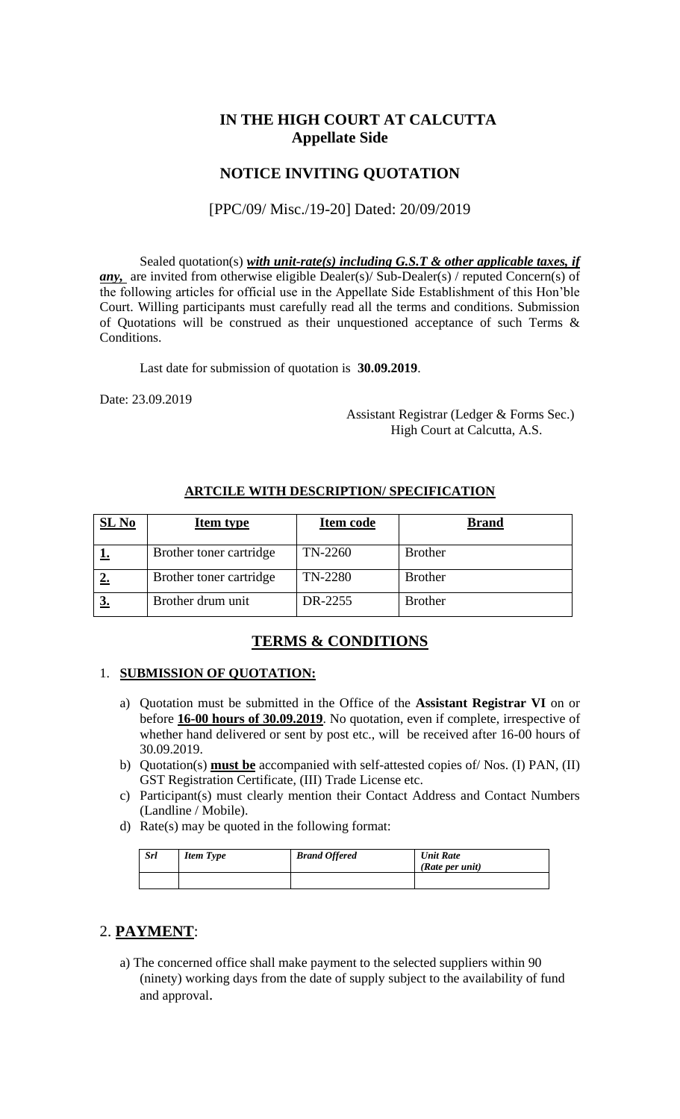# **IN THE HIGH COURT AT CALCUTTA Appellate Side**

### **NOTICE INVITING QUOTATION**

#### [PPC/09/ Misc./19-20] Dated: 20/09/2019

Sealed quotation(s) *with unit-rate(s) including G.S.T & other applicable taxes, if any*, are invited from otherwise eligible Dealer(s)/ Sub-Dealer(s) / reputed Concern(s) of the following articles for official use in the Appellate Side Establishment of this Hon'ble Court. Willing participants must carefully read all the terms and conditions. Submission of Quotations will be construed as their unquestioned acceptance of such Terms & Conditions.

Last date for submission of quotation is **30.09.2019**.

Date: 23.09.2019

 Assistant Registrar (Ledger & Forms Sec.) High Court at Calcutta, A.S.

| $SL$ No | <b>Item type</b>        | Item code | <b>Brand</b>   |
|---------|-------------------------|-----------|----------------|
|         | Brother toner cartridge | TN-2260   | <b>Brother</b> |
|         | Brother toner cartridge | TN-2280   | <b>Brother</b> |
|         | Brother drum unit       | DR-2255   | <b>Brother</b> |

#### **ARTCILE WITH DESCRIPTION/ SPECIFICATION**

## **TERMS & CONDITIONS**

#### 1. **SUBMISSION OF QUOTATION:**

- a) Quotation must be submitted in the Office of the **Assistant Registrar VI** on or before **16-00 hours of 30.09.2019**. No quotation, even if complete, irrespective of whether hand delivered or sent by post etc., will be received after 16-00 hours of 30.09.2019.
- b) Quotation(s) **must be** accompanied with self-attested copies of/ Nos. (I) PAN, (II) GST Registration Certificate, (III) Trade License etc.
- c) Participant(s) must clearly mention their Contact Address and Contact Numbers (Landline / Mobile).
- d) Rate(s) may be quoted in the following format:

| <b>Srl</b> | <b>Item Type</b> | <b>Brand Offered</b> | <b>Unit Rate</b><br>(Rate per unit) |
|------------|------------------|----------------------|-------------------------------------|
|            |                  |                      |                                     |

## 2. **PAYMENT**:

a) The concerned office shall make payment to the selected suppliers within 90 (ninety) working days from the date of supply subject to the availability of fund and approval.